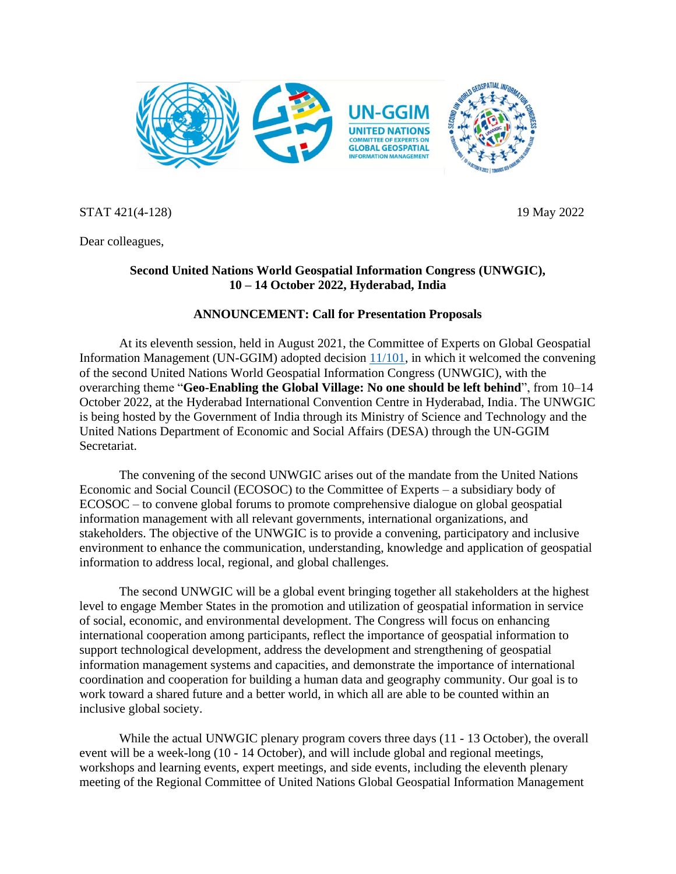

STAT 421(4-128) 19 May 2022

Dear colleagues,

## **Second United Nations World Geospatial Information Congress (UNWGIC), 10 – 14 October 2022, Hyderabad, India**

## **ANNOUNCEMENT: Call for Presentation Proposals**

At its eleventh session, held in August 2021, the Committee of Experts on Global Geospatial Information Management (UN-GGIM) adopted decision [11/101,](https://ggim.un.org/meetings/GGIM-committee/11th-Session/documents/E_2022_46-E_C20_2021_16_E.pdf) in which it welcomed the convening of the second United Nations World Geospatial Information Congress (UNWGIC), with the overarching theme "**Geo-Enabling the Global Village: No one should be left behind**", from 10–14 October 2022, at the Hyderabad International Convention Centre in Hyderabad, India. The UNWGIC is being hosted by the Government of India through its Ministry of Science and Technology and the United Nations Department of Economic and Social Affairs (DESA) through the UN-GGIM Secretariat.

The convening of the second UNWGIC arises out of the mandate from the United Nations Economic and Social Council (ECOSOC) to the Committee of Experts – a subsidiary body of ECOSOC – to convene global forums to promote comprehensive dialogue on global geospatial information management with all relevant governments, international organizations, and stakeholders. The objective of the UNWGIC is to provide a convening, participatory and inclusive environment to enhance the communication, understanding, knowledge and application of geospatial information to address local, regional, and global challenges.

The second UNWGIC will be a global event bringing together all stakeholders at the highest level to engage Member States in the promotion and utilization of geospatial information in service of social, economic, and environmental development. The Congress will focus on enhancing international cooperation among participants, reflect the importance of geospatial information to support technological development, address the development and strengthening of geospatial information management systems and capacities, and demonstrate the importance of international coordination and cooperation for building a human data and geography community. Our goal is to work toward a shared future and a better world, in which all are able to be counted within an inclusive global society.

While the actual UNWGIC plenary program covers three days (11 - 13 October), the overall event will be a week-long (10 - 14 October), and will include global and regional meetings, workshops and learning events, expert meetings, and side events, including the eleventh plenary meeting of the Regional Committee of United Nations Global Geospatial Information Management